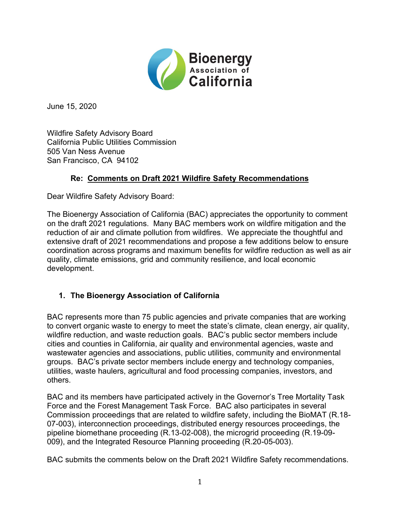

June 15, 2020

Wildfire Safety Advisory Board California Public Utilities Commission 505 Van Ness Avenue San Francisco, CA 94102

#### **Re: Comments on Draft 2021 Wildfire Safety Recommendations**

Dear Wildfire Safety Advisory Board:

The Bioenergy Association of California (BAC) appreciates the opportunity to comment on the draft 2021 regulations. Many BAC members work on wildfire mitigation and the reduction of air and climate pollution from wildfires. We appreciate the thoughtful and extensive draft of 2021 recommendations and propose a few additions below to ensure coordination across programs and maximum benefits for wildfire reduction as well as air quality, climate emissions, grid and community resilience, and local economic development.

## **1. The Bioenergy Association of California**

BAC represents more than 75 public agencies and private companies that are working to convert organic waste to energy to meet the state's climate, clean energy, air quality, wildfire reduction, and waste reduction goals. BAC's public sector members include cities and counties in California, air quality and environmental agencies, waste and wastewater agencies and associations, public utilities, community and environmental groups. BAC's private sector members include energy and technology companies, utilities, waste haulers, agricultural and food processing companies, investors, and others.

BAC and its members have participated actively in the Governor's Tree Mortality Task Force and the Forest Management Task Force. BAC also participates in several Commission proceedings that are related to wildfire safety, including the BioMAT (R.18- 07-003), interconnection proceedings, distributed energy resources proceedings, the pipeline biomethane proceeding (R.13-02-008), the microgrid proceeding (R.19-09- 009), and the Integrated Resource Planning proceeding (R.20-05-003).

BAC submits the comments below on the Draft 2021 Wildfire Safety recommendations.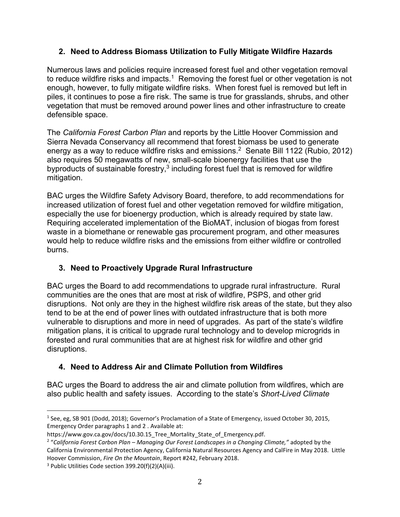#### **2. Need to Address Biomass Utilization to Fully Mitigate Wildfire Hazards**

Numerous laws and policies require increased forest fuel and other vegetation removal to reduce wildfire risks and impacts.<sup>1</sup> Removing the forest fuel or other vegetation is not enough, however, to fully mitigate wildfire risks. When forest fuel is removed but left in piles, it continues to pose a fire risk. The same is true for grasslands, shrubs, and other vegetation that must be removed around power lines and other infrastructure to create defensible space.

The *California Forest Carbon Plan* and reports by the Little Hoover Commission and Sierra Nevada Conservancy all recommend that forest biomass be used to generate energy as a way to reduce wildfire risks and emissions.<sup>2</sup> Senate Bill 1122 (Rubio, 2012) also requires 50 megawatts of new, small-scale bioenergy facilities that use the byproducts of sustainable forestry, $3$  including forest fuel that is removed for wildfire mitigation.

BAC urges the Wildfire Safety Advisory Board, therefore, to add recommendations for increased utilization of forest fuel and other vegetation removed for wildfire mitigation, especially the use for bioenergy production, which is already required by state law. Requiring accelerated implementation of the BioMAT, inclusion of biogas from forest waste in a biomethane or renewable gas procurement program, and other measures would help to reduce wildfire risks and the emissions from either wildfire or controlled burns.

## **3. Need to Proactively Upgrade Rural Infrastructure**

BAC urges the Board to add recommendations to upgrade rural infrastructure. Rural communities are the ones that are most at risk of wildfire, PSPS, and other grid disruptions. Not only are they in the highest wildfire risk areas of the state, but they also tend to be at the end of power lines with outdated infrastructure that is both more vulnerable to disruptions and more in need of upgrades. As part of the state's wildfire mitigation plans, it is critical to upgrade rural technology and to develop microgrids in forested and rural communities that are at highest risk for wildfire and other grid disruptions.

# **4. Need to Address Air and Climate Pollution from Wildfires**

BAC urges the Board to address the air and climate pollution from wildfires, which are also public health and safety issues. According to the state's *Short-Lived Climate* 

<sup>1</sup> See, eg, SB 901 (Dodd, 2018); Governor's Proclamation of a State of Emergency, issued October 30, 2015, Emergency Order paragraphs 1 and 2 . Available at:

https://www.gov.ca.gov/docs/10.30.15 Tree Mortality State of Emergency.pdf.

<sup>2</sup> "*California Forest Carbon Plan – Managing Our Forest Landscapes in a Changing Climate,"* adopted by the California Environmental Protection Agency, California Natural Resources Agency and CalFire in May 2018. Little Hoover Commission, *Fire On the Mountain*, Report #242, February 2018.

<sup>3</sup> Public Utilities Code section 399.20(f)(2)(A)(iii).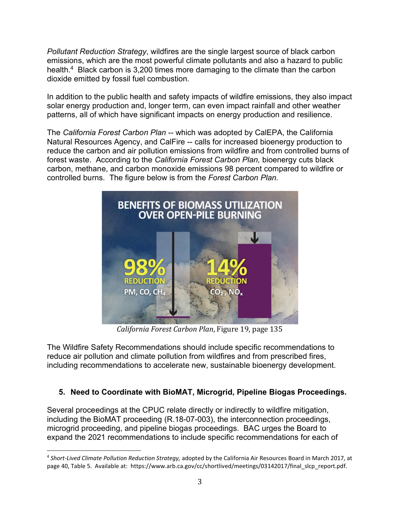*Pollutant Reduction Strategy*, wildfires are the single largest source of black carbon emissions, which are the most powerful climate pollutants and also a hazard to public health.<sup>4</sup> Black carbon is 3,200 times more damaging to the climate than the carbon dioxide emitted by fossil fuel combustion.

In addition to the public health and safety impacts of wildfire emissions, they also impact solar energy production and, longer term, can even impact rainfall and other weather patterns, all of which have significant impacts on energy production and resilience.

The *California Forest Carbon Plan* -- which was adopted by CalEPA, the California Natural Resources Agency, and CalFire -- calls for increased bioenergy production to reduce the carbon and air pollution emissions from wildfire and from controlled burns of forest waste. According to the *California Forest Carbon Plan,* bioenergy cuts black carbon, methane, and carbon monoxide emissions 98 percent compared to wildfire or controlled burns. The figure below is from the *Forest Carbon Plan.*



*California Forest Carbon Plan*, Figure 19, page 135

The Wildfire Safety Recommendations should include specific recommendations to reduce air pollution and climate pollution from wildfires and from prescribed fires, including recommendations to accelerate new, sustainable bioenergy development.

## **5. Need to Coordinate with BioMAT, Microgrid, Pipeline Biogas Proceedings.**

Several proceedings at the CPUC relate directly or indirectly to wildfire mitigation, including the BioMAT proceeding (R.18-07-003), the interconnection proceedings, microgrid proceeding, and pipeline biogas proceedings. BAC urges the Board to expand the 2021 recommendations to include specific recommendations for each of

<sup>4</sup> *Short-Lived Climate Pollution Reduction Strategy,* adopted by the California Air Resources Board in March 2017, at page 40, Table 5. Available at: https://www.arb.ca.gov/cc/shortlived/meetings/03142017/final\_slcp\_report.pdf.